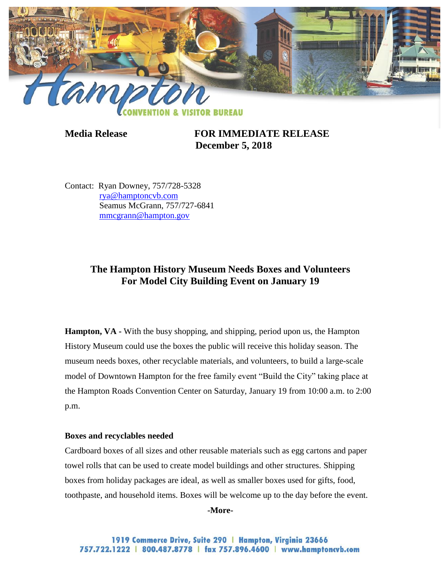

**Media Release FOR IMMEDIATE RELEASE December 5, 2018**

Contact: Ryan Downey, 757/728-5328 [rya@hamptoncvb.com](mailto:rya@hamptoncvb.com) Seamus McGrann, 757/727-6841 [mmcgrann@hampton.gov](mailto:mmcgrann@hampton.gov)

## **The Hampton History Museum Needs Boxes and Volunteers For Model City Building Event on January 19**

**Hampton, VA** - With the busy shopping, and shipping, period upon us, the Hampton History Museum could use the boxes the public will receive this holiday season. The museum needs boxes, other recyclable materials, and volunteers, to build a large-scale model of Downtown Hampton for the free family event "Build the City" taking place at the Hampton Roads Convention Center on Saturday, January 19 from 10:00 a.m. to 2:00 p.m.

## **Boxes and recyclables needed**

Cardboard boxes of all sizes and other reusable materials such as egg cartons and paper towel rolls that can be used to create model buildings and other structures. Shipping boxes from holiday packages are ideal, as well as smaller boxes used for gifts, food, toothpaste, and household items. Boxes will be welcome up to the day before the event.

**-More-**